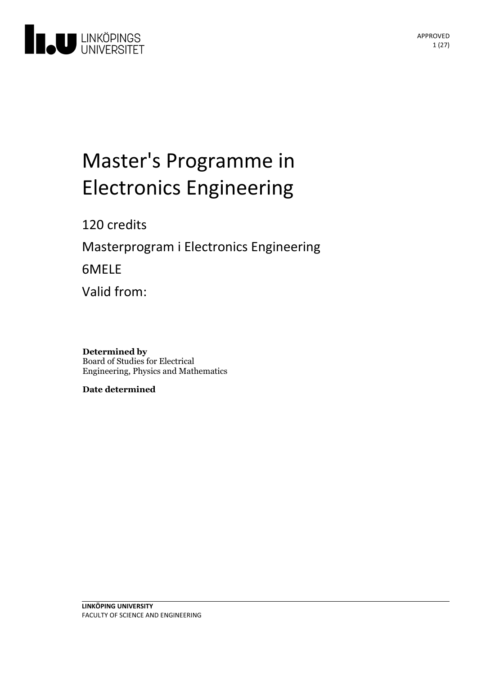

# Master's Programme in **Electronics Engineering**

# 120 credits

Masterprogram i Electronics Engineering

6MELE

Valid from:

#### **Determined by** Board of Studies for Electrical Engineering, Physics and Mathematics

**Date determined**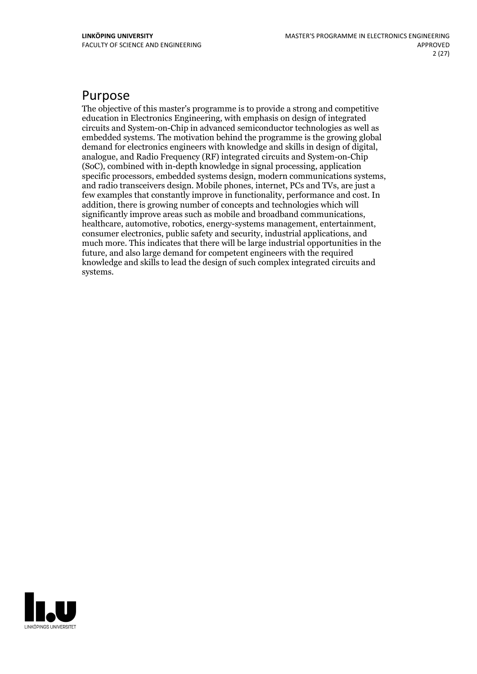# Purpose

The objective of this master's programme is to provide a strong and competitive education in Electronics Engineering, with emphasis on design of integrated circuits and System-on-Chip in advanced semiconductor technologies as well as embedded systems. The motivation behind the programme is the growing global demand for electronics engineers with knowledge and skills in design of digital, analogue, and Radio Frequency (RF) integrated circuits and System-on-Chip (SoC), combined with in-depth knowledge in signal processing, application and radio transceivers design. Mobile phones, internet, PCs and TVs, are just a few examples that constantly improve in functionality, performance and cost. In addition, there is growing number of concepts and technologies which will healthcare, automotive, robotics, energy-systems management, entertainment, consumer electronics, public safety and security, industrial applications, and much more. This indicates that there will be large industrial opportunities in the future, and also large demand for competent engineers with the required knowledge and skills to lead the design of such complex integrated circuits and systems.

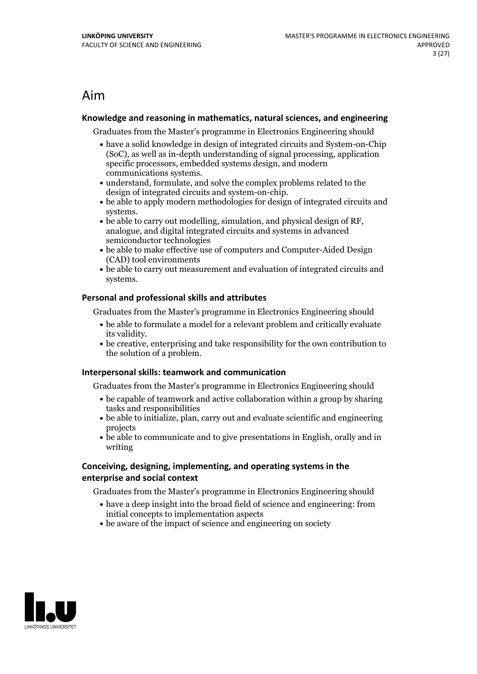# Aim

### **Knowledge and reasoningin mathematics, natural sciences, and engineering**

Graduates from the Master's programme in Electronics Engineering should

- have a solid knowledge in design of integrated circuits and System-on-Chip (SoC), as well as in-depth understanding of signal processing, application specific processors, embedded systems design, and modern
- communications systems.<br>• understand, formulate, and solve the complex problems related to the design of integrated circuits and system-on-chip.
- $\bullet$  be able to apply modern methodologies for design of integrated circuits and
- systems. be able to carry out modelling, simulation, and physical design of RF, analogue, and digital integrated circuits and systems in advanced semiconductor technologies
- $\bullet$  be able to make effective use of computers and Computer-Aided Design (CAD) tool environments
- be able to carry out measurement and evaluation of integrated circuits and systems.

### **Personal and professional skills and attributes**

Graduates from the Master's programme in Electronics Engineering should

- be able to formulate a model for a relevant problem and critically evaluate its validity. be creative, enterprising and take responsibility for the own contribution to
- the solution of a problem.

#### **Interpersonal skills: teamwork and communication**

Graduates from the Master's programme in Electronics Engineering should

- $\bullet$  be capable of teamwork and active collaboration within a group by sharing tasks and responsibilities
- be able to initialize, plan, carry out and evaluate scientific and engineering projects
- be able to communicate and to give presentations in English, orally and in writing

### **Conceiving, designing, implementing, and operatingsystems in the enterprise and social context**

Graduates from the Master's programme in Electronics Engineering should

- have a deep insight into the broad field of science and engineering: from initial concepts to implementation aspects
- be aware of the impact of science and engineering on society

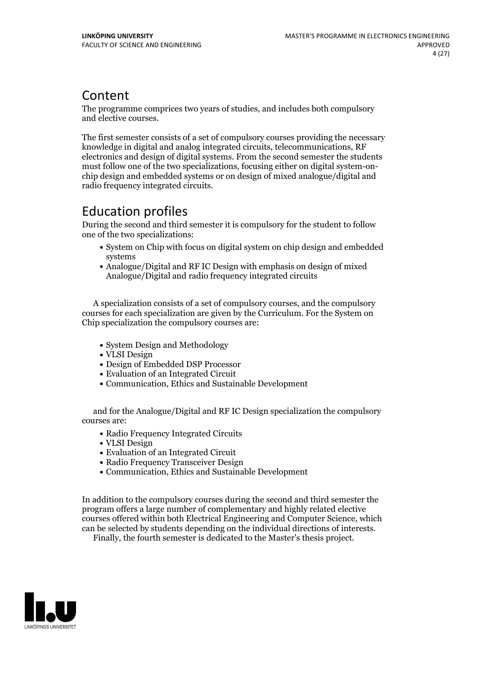# Content

The programme comprices two years of studies, and includes both compulsory and elective courses.

The first semester consists of a set of compulsory courses providing the necessary knowledge in digital and analog integrated circuits, telecommunications, RF electronics and design of digital systems. From the second semester the students must follow one of the two specializations, focusing either on digital system-on-<br>chip design and embedded systems or on design of mixed analogue/digital and radio frequency integrated circuits.

# Education profiles

During the second and third semester it is compulsory for the student to follow one of the two specializations:

- System on Chip with focus on digital system on chip design and embedded systems
- Analogue/Digital and RF IC Design with emphasis on design of mixed Analogue/Digital and radio frequency integrated circuits

A specialization consists of a set of compulsory courses, and the compulsory courses for each specialization are given by the Curriculum. For the System on Chip specialization the compulsory courses are:

- System Design and Methodology
- VLSI Design
- Design of Embedded DSP Processor
- Evaluation of an Integrated Circuit
- Communication, Ethics and Sustainable Development

and for the Analogue/Digital and RF IC Design specialization the compulsory courses are:

- Radio Frequency Integrated Circuits
- VLSI Design
- Evaluation of an Integrated Circuit
- Radio Frequency Transceiver Design
- Communication, Ethics and Sustainable Development

In addition to the compulsory courses during the second and third semester the program offers a large number of complementary and highly related elective courses offered within both Electrical Engineering and Computer Science, which can be selected by students depending on the individual directions of interests. Finally, the fourth semester is dedicated to the Master's thesis project.

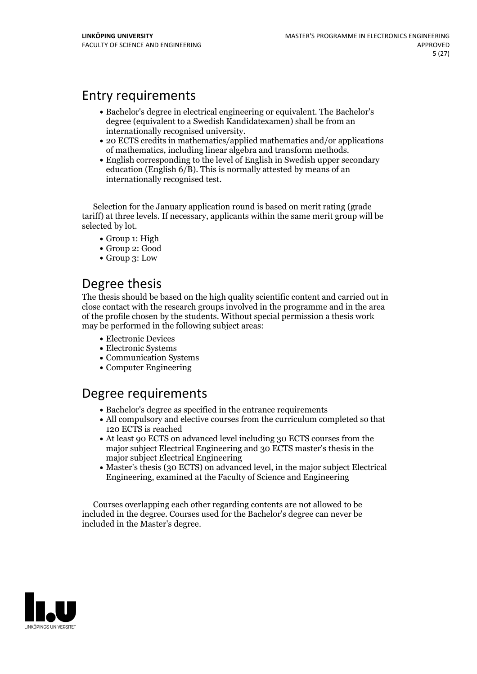# Entry requirements

- Bachelor's degree in electrical engineering or equivalent. The Bachelor's degree (equivalent to a Swedish Kandidatexamen) shall be from an
- internationally recognised university. <sup>20</sup> ECTS credits in mathematics/applied mathematics and/or applications of mathematics, including linear algebra and transform methods. English corresponding to the level of English in Swedish upper secondary
- education (English 6/B). This is normally attested by means of an internationally recognised test.

Selection for the January application round is based on merit rating (grade tariff) at three levels. If necessary, applicants within the same merit group will be selected by lot.

- Group 1: High
- Group 2: Good
- Group 3: Low

# Degree thesis

The thesis should be based on the high quality scientific content and carried outin close contact with the research groups involved in the programme and in the area of the profile chosen by the students. Without special permission a thesis work may be performed in the following subject areas:

- Electronic Devices
- Electronic Systems
- Communication Systems
- Computer Engineering

# Degree requirements

- Bachelor's degree as specified in the entrance requirements
- All compulsory and elective courses from the curriculum completed so that 120 ECTS is reached
- At least 90 ECTS on advanced level including 30 ECTS courses from the major subject Electrical Engineering and 30 ECTS master's thesis in the major subject Electrical Engineering
- Master's thesis (30 ECTS) on advanced level, in the major subject Electrical Engineering, examined at the Faculty of Science and Engineering

Courses overlapping each other regarding contents are not allowed to be included in the degree. Courses used for the Bachelor's degree can never be included in the Master's degree.

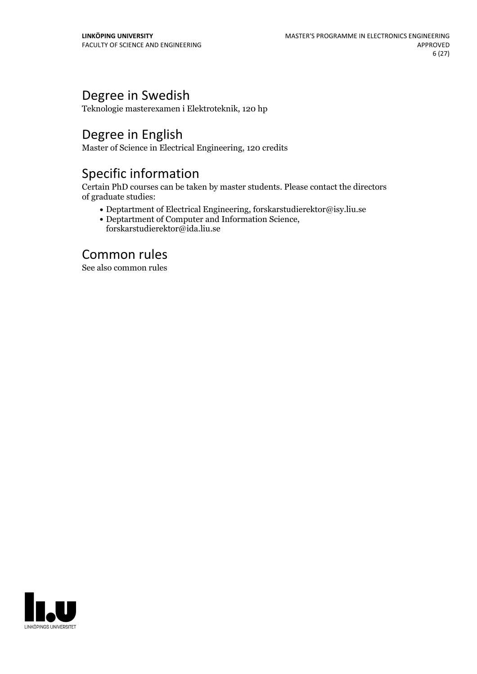# Degree in Swedish

Teknologie masterexamen i Elektroteknik, 120 hp

# Degree in English

Master of Science in Electrical Engineering, 120 credits

# Specific information

Certain PhD courses can be taken by master students. Please contact the directors of graduate studies:

- Deptartment of Electrical Engineering, forskarstudierektor@isy.liu.se
- Deptartment of Computer and Information Science, forskarstudierektor@ida.liu.se

# Common rules

See also common rules

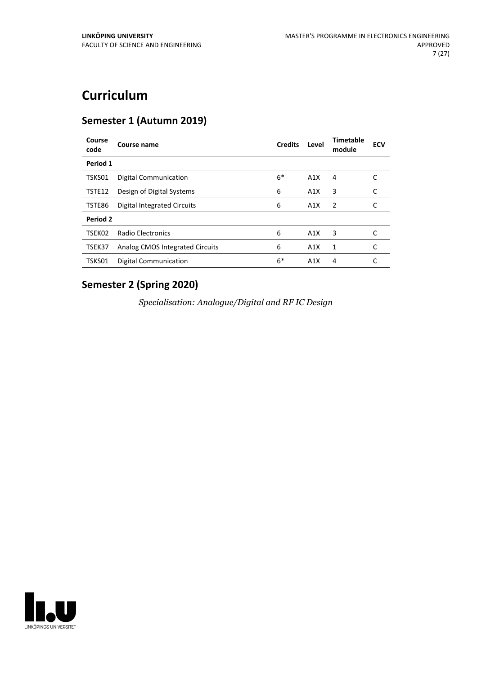# **Curriculum**

# **Semester 1 (Autumn 2019)**

| Course name                     | <b>Credits</b>       | Level | Timetable<br>module | <b>ECV</b> |
|---------------------------------|----------------------|-------|---------------------|------------|
|                                 |                      |       |                     |            |
| <b>Digital Communication</b>    | $6*$                 | A1X   | 4                   |            |
| Design of Digital Systems       | 6                    | A1X   | 3                   | C          |
| Digital Integrated Circuits     | 6                    | A1X   | $\overline{2}$      | C          |
|                                 |                      |       |                     |            |
| Radio Electronics               | 6                    | A1X   | 3                   |            |
| Analog CMOS Integrated Circuits | 6                    | A1X   | 1                   | C          |
| <b>Digital Communication</b>    | $6*$                 | A1X   | 4                   |            |
|                                 | Period 1<br>Period 2 |       |                     |            |

# **Semester 2 (Spring 2020)**

*Specialisation: Analogue/Digital and RF IC Design*

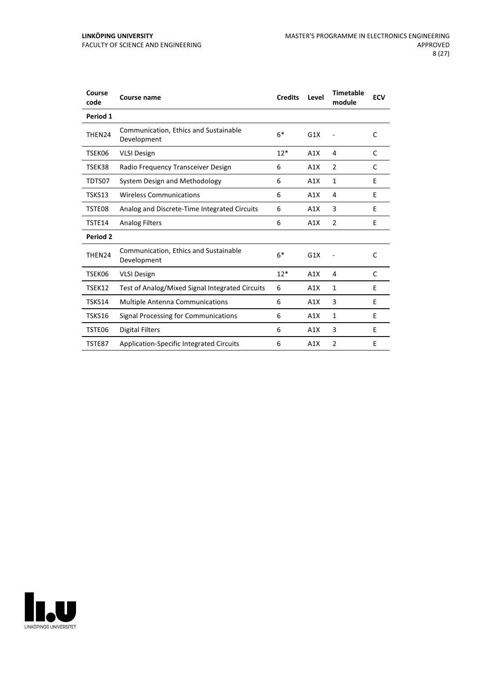| Course<br>code | <b>Course name</b>                                   | <b>Credits</b> | Level | <b>Timetable</b><br>module | <b>ECV</b> |
|----------------|------------------------------------------------------|----------------|-------|----------------------------|------------|
| Period 1       |                                                      |                |       |                            |            |
| THEN24         | Communication, Ethics and Sustainable<br>Development | $6*$           | G1X   |                            | C          |
| TSEK06         | <b>VLSI Design</b>                                   | $12*$          | A1X   | 4                          | C          |
| TSEK38         | Radio Frequency Transceiver Design                   | 6              | A1X   | $\overline{2}$             | C          |
| TDTS07         | System Design and Methodology                        | 6              | A1X   | 1                          | E          |
| TSKS13         | <b>Wireless Communications</b>                       | 6              | A1X   | 4                          | E          |
| TSTE08         | Analog and Discrete-Time Integrated Circuits         | 6              | A1X   | 3                          | E          |
| TSTE14         | <b>Analog Filters</b>                                | 6              | A1X   | $\overline{2}$             | E          |
| Period 2       |                                                      |                |       |                            |            |
| THEN24         | Communication, Ethics and Sustainable<br>Development | $6*$           | G1X   |                            | C          |
| TSEK06         | <b>VLSI Design</b>                                   | $12*$          | A1X   | 4                          | C          |
| TSEK12         | Test of Analog/Mixed Signal Integrated Circuits      | 6              | A1X   | 1                          | E          |
| TSKS14         | <b>Multiple Antenna Communications</b>               | 6              | A1X   | 3                          | E          |
| TSKS16         | <b>Signal Processing for Communications</b>          | 6              | A1X   | 1                          | E          |
| TSTE06         | <b>Digital Filters</b>                               | 6              | A1X   | 3                          | E          |
| TSTE87         | Application-Specific Integrated Circuits             | 6              | A1X   | $\overline{2}$             | E          |

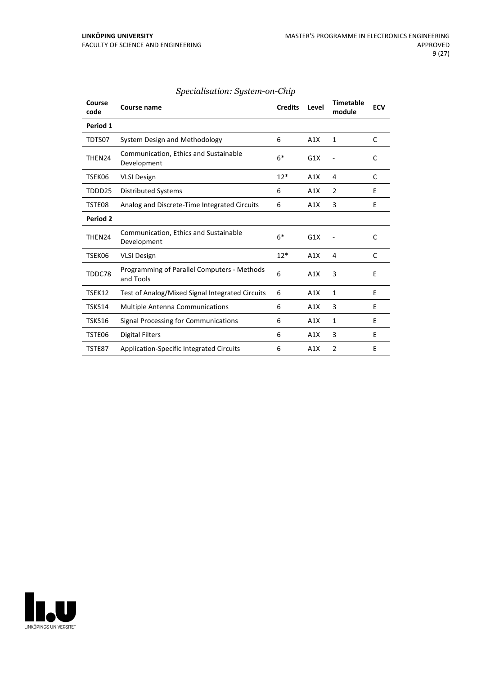| Course<br>code  | Course name                                              | <b>Credits</b> | Level | <b>Timetable</b><br>module | <b>ECV</b> |
|-----------------|----------------------------------------------------------|----------------|-------|----------------------------|------------|
| Period 1        |                                                          |                |       |                            |            |
| TDTS07          | System Design and Methodology                            | 6              | A1X   | $\mathbf{1}$               | C          |
| THEN24          | Communication, Ethics and Sustainable<br>Development     | $6*$           | G1X   |                            | C          |
| TSEK06          | <b>VLSI Design</b>                                       | $12*$          | A1X   | 4                          | C          |
| TDDD25          | <b>Distributed Systems</b>                               | 6              | A1X   | $\overline{2}$             | F          |
| TSTE08          | Analog and Discrete-Time Integrated Circuits             | 6              | A1X   | 3                          | F          |
| <b>Period 2</b> |                                                          |                |       |                            |            |
| THEN24          | Communication, Ethics and Sustainable<br>Development     | $6*$           | G1X   |                            | C          |
| TSEK06          | <b>VLSI Design</b>                                       | $12*$          | A1X   | 4                          | C          |
| TDDC78          | Programming of Parallel Computers - Methods<br>and Tools | 6              | A1X   | 3                          | E          |
| TSEK12          | Test of Analog/Mixed Signal Integrated Circuits          | 6              | A1X   | 1                          | E          |
| TSKS14          | <b>Multiple Antenna Communications</b>                   | 6              | A1X   | 3                          | E          |
| TSKS16          | Signal Processing for Communications                     | 6              | A1X   | 1                          | E          |
| TSTE06          | <b>Digital Filters</b>                                   | 6              | A1X   | 3                          | E          |
| <b>TSTE87</b>   | <b>Application-Specific Integrated Circuits</b>          | 6              | A1X   | $\overline{2}$             | E          |

# *Specialisation: System-on-Chip*

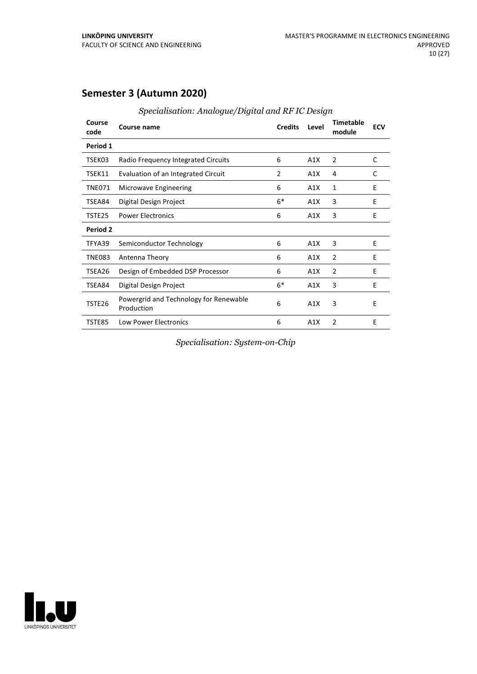# **Semester 3 (Autumn 2020)**

| Course<br>code  | Course name                                          | <b>Credits</b> | Level | <b>Timetable</b><br>module | <b>ECV</b> |
|-----------------|------------------------------------------------------|----------------|-------|----------------------------|------------|
| Period 1        |                                                      |                |       |                            |            |
| TSEK03          | Radio Frequency Integrated Circuits                  | 6              | A1X   | 2                          | C          |
| TSEK11          | Evaluation of an Integrated Circuit                  | $\overline{2}$ | A1X   | 4                          | C          |
| <b>TNE071</b>   | Microwave Engineering                                | 6              | A1X   | $\mathbf{1}$               | F          |
| TSEA84          | Digital Design Project                               | $6*$           | A1X   | 3                          | E          |
| TSTE25          | <b>Power Electronics</b>                             | 6              | A1X   | 3                          | E          |
| <b>Period 2</b> |                                                      |                |       |                            |            |
| TFYA39          | Semiconductor Technology                             | 6              | A1X   | 3                          | E          |
| <b>TNE083</b>   | Antenna Theory                                       | 6              | A1X   | 2                          | E          |
| TSEA26          | Design of Embedded DSP Processor                     | 6              | A1X   | $\overline{2}$             | E          |
| TSEA84          | Digital Design Project                               | $6*$           | A1X   | 3                          | E          |
| TSTE26          | Powergrid and Technology for Renewable<br>Production | 6              | A1X   | 3                          | E          |
| TSTE85          | <b>Low Power Electronics</b>                         | 6              | A1X   | $\overline{2}$             | E          |

*Specialisation: Analogue/Digital and RF IC Design*

*Specialisation: System-on-Chip*

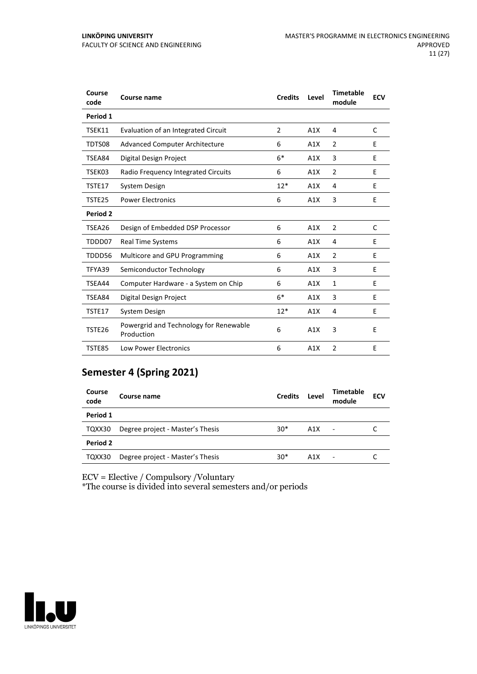| Course<br>code | Course name                                          | <b>Credits</b> | Level | <b>Timetable</b><br>module | <b>ECV</b> |
|----------------|------------------------------------------------------|----------------|-------|----------------------------|------------|
| Period 1       |                                                      |                |       |                            |            |
| TSEK11         | Evaluation of an Integrated Circuit                  | $\overline{2}$ | A1X   | 4                          | C          |
| TDTS08         | <b>Advanced Computer Architecture</b>                | 6              | A1X   | $\overline{2}$             | E          |
| TSEA84         | Digital Design Project                               | $6*$           | A1X   | 3                          | E          |
| TSEK03         | Radio Frequency Integrated Circuits                  | 6              | A1X   | $\overline{2}$             | E          |
| TSTE17         | System Design                                        | $12*$          | A1X   | 4                          | E          |
| TSTE25         | <b>Power Electronics</b>                             | 6              | A1X   | 3                          | E          |
| Period 2       |                                                      |                |       |                            |            |
| TSEA26         | Design of Embedded DSP Processor                     | 6              | A1X   | 2                          | C          |
| TDDD07         | <b>Real Time Systems</b>                             | 6              | A1X   | 4                          | E          |
| TDDD56         | Multicore and GPU Programming                        | 6              | A1X   | $\overline{2}$             | E          |
| TFYA39         | Semiconductor Technology                             | 6              | A1X   | 3                          | F          |
| TSEA44         | Computer Hardware - a System on Chip                 | 6              | A1X   | $\mathbf{1}$               | E          |
| TSEA84         | Digital Design Project                               | $6*$           | A1X   | $\overline{3}$             | E          |
| TSTE17         | System Design                                        | $12*$          | A1X   | 4                          | E          |
| TSTE26         | Powergrid and Technology for Renewable<br>Production | 6              | A1X   | 3                          | E          |
| <b>TSTE85</b>  | <b>Low Power Electronics</b>                         | 6              | A1X   | $\overline{2}$             | E          |

# **Semester 4 (Spring 2021)**

| Course<br>code | Course name                      | <b>Credits</b> | Level | Timetable<br>module | <b>ECV</b> |
|----------------|----------------------------------|----------------|-------|---------------------|------------|
| Period 1       |                                  |                |       |                     |            |
| TQXX30         | Degree project - Master's Thesis | $30*$          | A1X   | $\blacksquare$      |            |
| Period 2       |                                  |                |       |                     |            |
| TQXX30         | Degree project - Master's Thesis | $30*$          | A1X   |                     |            |

ECV = Elective / Compulsory /Voluntary

\*The course is divided into several semesters and/or periods

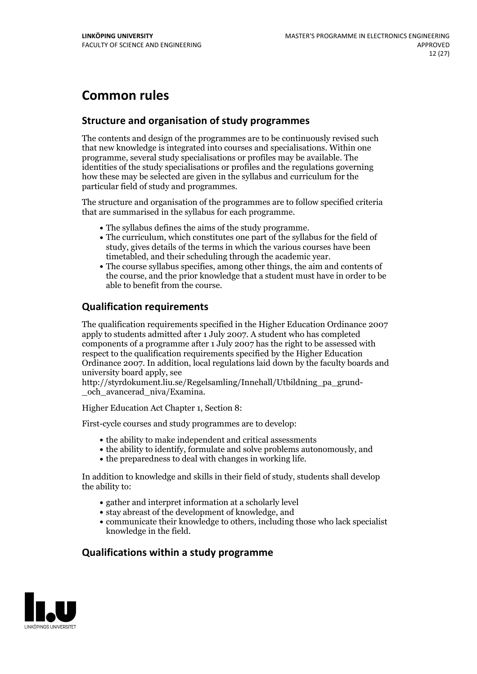# **Common rules**

# **Structure and organisation of study programmes**

The contents and design of the programmes are to be continuously revised such that new knowledge is integrated into courses and specialisations. Within one programme, several study specialisations or profiles may be available. The identities of the study specialisations or profiles and the regulations governing how these may be selected are given in the syllabus and curriculum for the particular field of study and programmes.

The structure and organisation of the programmes are to follow specified criteria that are summarised in the syllabus for each programme.

- 
- The syllabus defines the aims of the study programme.<br>• The curriculum, which constitutes one part of the syllabus for the field of study, gives details of the terms in which the various courses have been
- timetabled, and their scheduling through the academic year.<br>• The course syllabus specifies, among other things, the aim and contents of the course, and the prior knowledge that a student must have in order to be able to benefit from the course.

# **Qualification requirements**

The qualification requirements specified in the Higher Education Ordinance 2007 apply to students admitted after 1 July 2007. A student who has completed components of a programme after 1 July 2007 has the right to be assessed with respect to the qualification requirements specified by the Higher Education Ordinance 2007. In addition, local regulations laid down by the faculty boards and university board apply, see

http://styrdokument.liu.se/Regelsamling/Innehall/Utbildning\_pa\_grund- \_och\_avancerad\_niva/Examina.

Higher Education Act Chapter 1, Section 8:

First-cycle courses and study programmes are to develop:

- $\bullet$  the ability to make independent and critical assessments
- the ability to identify, formulate and solve problems autonomously, and
- $\bullet$  the preparedness to deal with changes in working life.

In addition to knowledge and skills in their field of study, students shall develop the ability to:

- gather and interpret information at a scholarly level
- stay abreast of the development of knowledge, and
- communicate their knowledge to others, including those who lack specialist knowledge in the field.

# **Qualifications within a study programme**

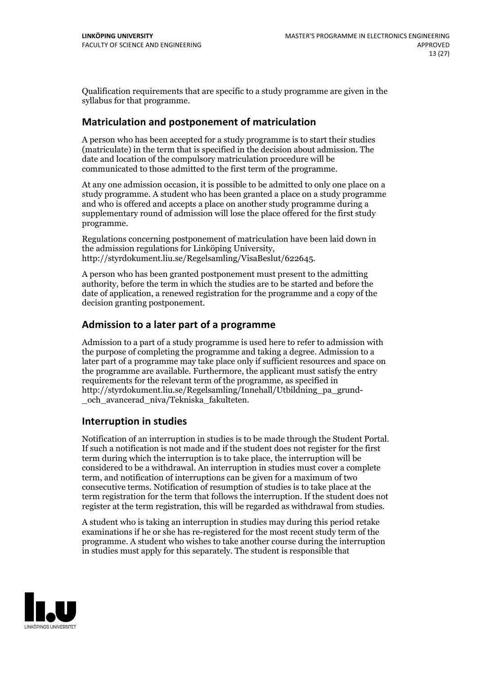Qualification requirements that are specific to a study programme are given in the syllabus for that programme.

# **Matriculation and postponement of matriculation**

A person who has been accepted for a study programme is to start their studies (matriculate) in the term that is specified in the decision about admission. The date and location of the compulsory matriculation procedure will be communicated to those admitted to the first term of the programme.

At any one admission occasion, it is possible to be admitted to only one place on a study programme. A student who has been granted a place on a study programme and who is offered and accepts a place on another study programme during a supplementary round of admission will lose the place offered for the first study programme.

Regulations concerning postponement of matriculation have been laid down in the admission regulations for Linköping University, http://styrdokument.liu.se/Regelsamling/VisaBeslut/622645.

A person who has been granted postponement must present to the admitting authority, before the term in which the studies are to be started and before the date of application, a renewed registration for the programme and a copy of the decision granting postponement.

# **Admission to a later part of a programme**

Admission to a part of a study programme is used here to refer to admission with the purpose of completing the programme and taking a degree. Admission to a later part of a programme may take place only if sufficient resources and space on the programme are available. Furthermore, the applicant must satisfy the entry requirements for the relevant term of the programme, as specified in http://styrdokument.liu.se/Regelsamling/Innehall/Utbildning\_pa\_grund- \_och\_avancerad\_niva/Tekniska\_fakulteten.

# **Interruption in studies**

Notification of an interruption in studies is to be made through the Student Portal. If such <sup>a</sup> notification is not made and if the student does not register for the first term during which the interruption is to take place, the interruption will be considered to be a withdrawal. An interruption in studies must cover a complete term, and notification of interruptions can be given for a maximum of two consecutive terms. Notification of resumption of studies is to take place at the term registration for the term that follows the interruption. If the student does not register at the term registration, this will be regarded as withdrawal from studies.

A student who is taking an interruption in studies may during this period retake examinations if he or she has re-registered for the most recent study term of the programme. A student who wishes to take another course during the interruption in studies must apply for this separately. The student is responsible that

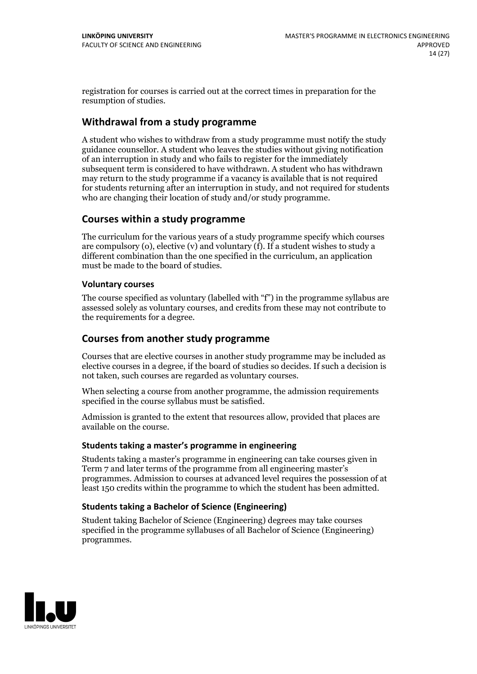registration for courses is carried outat the correct times in preparation for the resumption of studies.

# **Withdrawal from a study programme**

A student who wishes to withdraw from a study programme must notify the study guidance counsellor. A student who leaves the studies without giving notification of an interruption in study and who fails to register for the immediately subsequent term is considered to have withdrawn. A student who has withdrawn may return to the study programme if a vacancy is available that is not required for students returning after an interruption in study, and not required for students who are changing their location of study and/or study programme.

# **Courses within a study programme**

The curriculum for the various years of a study programme specify which courses are compulsory (o), elective (v) and voluntary (f). If a student wishes to study a different combination than the one specified in the curriculum, an application must be made to the board of studies.

### **Voluntarycourses**

The course specified as voluntary (labelled with "f") in the programme syllabus are assessed solely as voluntary courses, and credits from these may not contribute to the requirements for a degree.

# **Courses from another study programme**

Courses that are elective courses in another study programme may be included as elective courses in a degree, if the board of studies so decides. If such a decision is not taken, such courses are regarded as voluntary courses.

When selecting a course from another programme, the admission requirements specified in the course syllabus must be satisfied.

Admission is granted to the extent that resources allow, provided that places are available on the course.

#### **Students taking a master's programme in engineering**

Students taking a master's programme in engineering can take courses given in Term 7 and later terms of the programme from all engineering master's programmes. Admission to courses at advanced level requires the possession of at least 150 credits within the programme to which the student has been admitted.

### **Students taking a Bachelor of Science (Engineering)**

Student taking Bachelor of Science (Engineering) degrees may take courses specified in the programme syllabuses of all Bachelor of Science (Engineering) programmes.

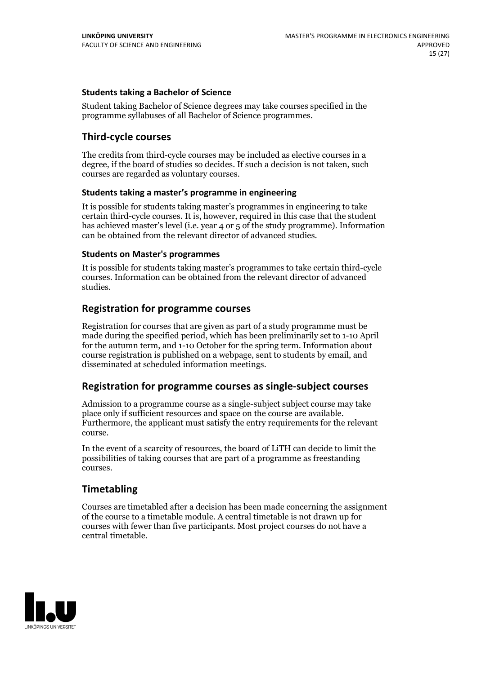### **Students taking a Bachelor of Science**

Student taking Bachelor of Science degrees may take courses specified in the programme syllabuses of all Bachelor of Science programmes.

# **Third-cycle courses**

The credits from third-cycle courses may be included as elective courses in a degree, if the board of studies so decides. If such a decision is not taken, such courses are regarded as voluntary courses.

### **Students taking a master's programme in engineering**

It is possible for students taking master's programmes in engineering to take certain third-cycle courses. It is, however, required in this case that the student has achieved master's level (i.e. year 4 or 5 of the study programme). Information can be obtained from the relevant director of advanced studies.

#### **Students on Master's programmes**

It is possible for students taking master's programmes to take certain third-cycle courses. Information can be obtained from the relevant director of advanced studies.

# **Registration for programme courses**

Registration for courses that are given as part of a study programme must be made during the specified period, which has been preliminarily set to 1-10 April for the autumn term, and 1-10 October for the spring term. Information about course registration is published on a webpage, sent to students by email, and disseminated at scheduled information meetings.

# **Registration for programme courses as single-subject courses**

Admission to a programme course as a single-subject subject course may take place only if sufficient resources and space on the course are available. Furthermore, the applicant must satisfy the entry requirements for the relevant course.

In the event of a scarcity of resources, the board of LiTH can decide to limit the possibilities of taking courses that are part of a programme as freestanding courses.

# **Timetabling**

Courses are timetabled after a decision has been made concerning the assignment of the course to a timetable module. A central timetable is not drawn up for courses with fewer than five participants. Most project courses do not have a central timetable.

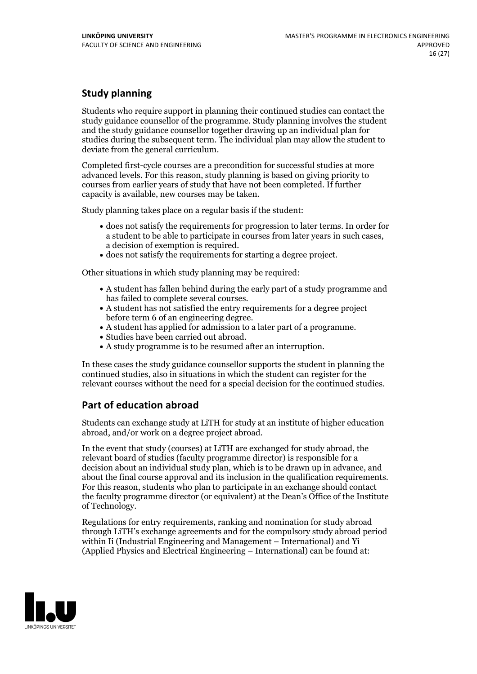# **Study planning**

Students who require support in planning their continued studies can contact the study guidance counsellor of the programme. Study planning involves the student and the study guidance counsellor together drawing up an individual plan for studies during the subsequent term. The individual plan may allow the student to deviate from the general curriculum.

Completed first-cycle courses are a precondition for successful studies at more advanced levels. For this reason, study planning is based on giving priority to courses from earlier years of study that have not been completed. If further capacity is available, new courses may be taken.

Study planning takes place on a regular basis if the student:

- does not satisfy the requirements for progression to later terms. In order for a student to be able to participate in courses from later years in such cases, a decision of exemption is required.<br>
• does not satisfy the requirements for starting a degree project.
- 

Other situations in which study planning may be required:

- A student has fallen behind during the early part of a study programme and has failed to complete several courses.<br>• A student has not satisfied the entry requirements for a degree project
- 
- before term 6 of an engineering degree.<br>• A student has applied for admission to a later part of a programme.<br>• Studies have been carried out abroad.<br>• A study programme is to be resumed after an interruption.
- 
- 

In these cases the study guidance counsellor supports the student in planning the continued studies, also in situations in which the student can register for the relevant courses without the need for a special decision for the continued studies.

# **Part of education abroad**

Students can exchange study at LiTH for study at an institute of higher education abroad, and/or work on a degree project abroad.

In the event that study (courses) at LiTH are exchanged for study abroad, the relevant board of studies (faculty programme director) is responsible for a decision about an individual study plan, which is to be drawn up in advance, and about the final course approval and its inclusion in the qualification requirements. For this reason, students who plan to participate in an exchange should contact the faculty programme director (or equivalent) at the Dean's Office ofthe Institute of Technology.

Regulations for entry requirements, ranking and nomination for study abroad through LiTH's exchange agreements and for the compulsory study abroad period within Ii (Industrial Engineering and Management – International) and Yi (Applied Physics and Electrical Engineering – International) can be found at:

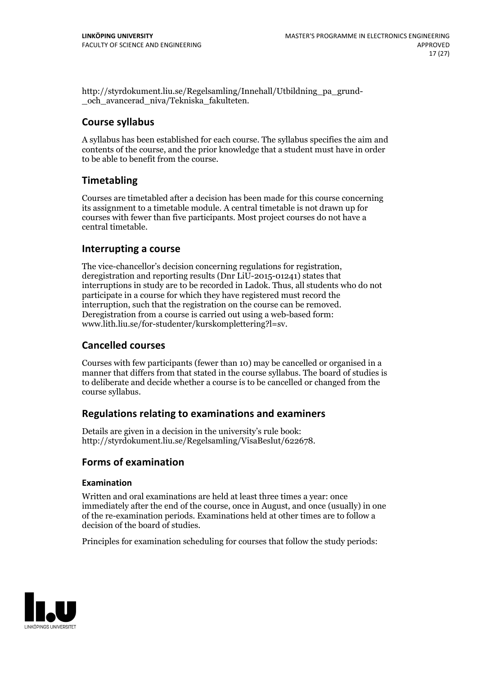http://styrdokument.liu.se/Regelsamling/Innehall/Utbildning\_pa\_grund- \_och\_avancerad\_niva/Tekniska\_fakulteten.

# **Course syllabus**

A syllabus has been established for each course. The syllabus specifies the aim and contents of the course, and the prior knowledge that a student must have in order to be able to benefit from the course.

# **Timetabling**

Courses are timetabled after a decision has been made for this course concerning its assignment to a timetable module. A central timetable is not drawn up for courses with fewer than five participants. Most project courses do not have a central timetable.

# **Interrupting a course**

The vice-chancellor's decision concerning regulations for registration, deregistration and reporting results (Dnr LiU-2015-01241) states that interruptions in study are to be recorded in Ladok. Thus, all students who do not participate in a course for which they have registered must record the interruption, such that the registration on the course can be removed. Deregistration from <sup>a</sup> course is carried outusing <sup>a</sup> web-based form: www.lith.liu.se/for-studenter/kurskomplettering?l=sv.

# **Cancelled courses**

Courses with few participants (fewer than 10) may be cancelled or organised in a manner that differs from that stated in the course syllabus. The board of studies is to deliberate and decide whether a course is to be cancelled orchanged from the course syllabus.

# **Regulations relatingto examinations and examiners**

Details are given in a decision in the university's rule book: http://styrdokument.liu.se/Regelsamling/VisaBeslut/622678.

# **Forms of examination**

### **Examination**

Written and oral examinations are held at least three times a year: once immediately after the end of the course, once in August, and once (usually) in one of the re-examination periods. Examinations held at other times are to follow a decision of the board of studies.

Principles for examination scheduling for courses that follow the study periods:

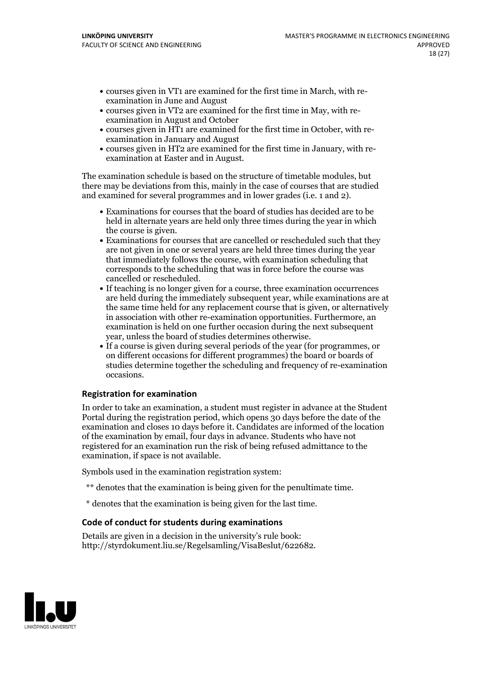- courses given in VT1 are examined for the first time in March, with re-examination in June and August
- courses given in VT2 are examined for the first time in May, with re-examination in August and October
- courses given in HT1 are examined for the first time in October, with re-examination in January and August
- courses given in HT2 are examined for the first time in January, with re-examination at Easter and in August.

The examination schedule is based on the structure of timetable modules, but there may be deviations from this, mainly in the case of courses that are studied and examined for several programmes and in lower grades (i.e. 1 and 2).

- Examinations for courses that the board of studies has decided are to be held in alternate years are held only three times during the year in which the course is given.<br>• Examinations for courses that are cancelled or rescheduled such that they
- are not given in one or several years are held three times during the year that immediately follows the course, with examination scheduling that corresponds to the scheduling that was in force before the course was cancelled or rescheduled.<br>• If teaching is no longer given for a course, three examination occurrences
- are held during the immediately subsequent year, while examinations are at the same time held for any replacement course that is given, or alternatively in association with other re-examination opportunities. Furthermore, an examination is held on one further occasion during the next subsequent
- year, unless the board of studies determines otherwise.<br>If a course is given during several periods of the year (for programmes, or on different occasions for different programmes) the board or boards of studies determine together the scheduling and frequency of re-examination occasions.

### **Registration for examination**

In order to take an examination, a student must register in advance at the Student Portal during the registration period, which opens 30 days before the date of the examination and closes 10 days before it. Candidates are informed of the location of the examination by email, four days in advance. Students who have not registered for an examination run the risk of being refused admittance to the examination, if space is not available.

Symbols used in the examination registration system:

- \*\* denotes that the examination is being given for the penultimate time.
- \* denotes that the examination is being given for the last time.

#### **Code of conduct for students during examinations**

Details are given in a decision in the university's rule book: http://styrdokument.liu.se/Regelsamling/VisaBeslut/622682.

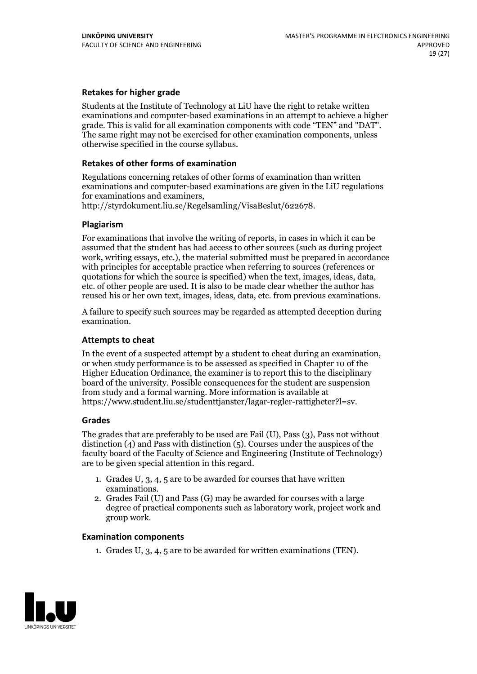### **Retakes for higher grade**

Students at the Institute of Technology at LiU have the right to retake written examinations and computer-based examinations in an attempt to achieve a higher grade. This is valid for all examination components with code "TEN" and "DAT". The same right may not be exercised for other examination components, unless otherwise specified in the course syllabus.

#### **Retakes of other forms of examination**

Regulations concerning retakes of other forms of examination than written examinations and computer-based examinations are given in the LiU regulations

http://styrdokument.liu.se/Regelsamling/VisaBeslut/622678.

#### **Plagiarism**

For examinations that involve the writing of reports, in cases in which it can be assumed that the student has had access to other sources (such as during project work, writing essays, etc.), the material submitted must be prepared in accordance with principles for acceptable practice when referring to sources (references or quotations for which the source is specified) when the text, images, ideas, data, etc. of other people are used. It is also to be made clear whether the author has reused his or her own text, images, ideas, data, etc. from previous examinations.

A failure to specify such sources may be regarded as attempted deception during examination.

#### **Attempts to cheat**

In the event of <sup>a</sup> suspected attempt by <sup>a</sup> student to cheat during an examination, or when study performance is to be assessed as specified in Chapter <sup>10</sup> of the Higher Education Ordinance, the examiner is to report this to the disciplinary board of the university. Possible consequences for the student are suspension from study and a formal warning. More information is available at https://www.student.liu.se/studenttjanster/lagar-regler-rattigheter?l=sv.

#### **Grades**

The grades that are preferably to be used are Fail (U), Pass (3), Pass not without distinction  $(4)$  and Pass with distinction  $(5)$ . Courses under the auspices of the faculty board of the Faculty of Science and Engineering (Institute of Technology) are to be given special attention in this regard.

- 1. Grades U, 3, 4, 5 are to be awarded for courses that have written
- examinations. 2. Grades Fail (U) and Pass (G) may be awarded for courses with <sup>a</sup> large degree of practical components such as laboratory work, project work and group work.

#### **Examination components**

1. Grades U, 3, 4, 5 are to be awarded for written examinations (TEN).

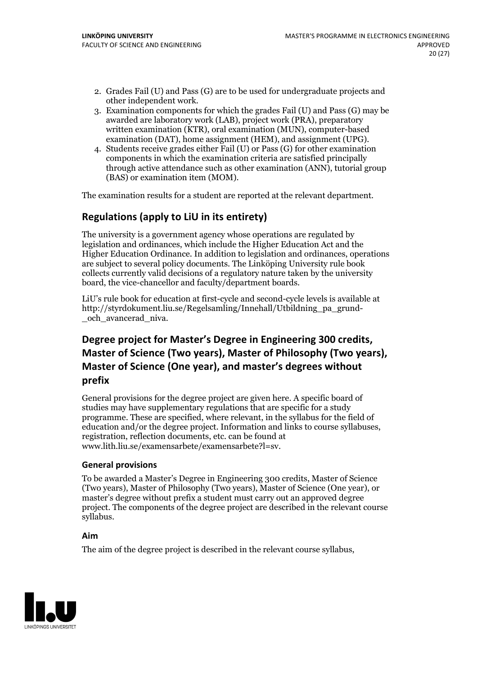- 2. Grades Fail (U) and Pass (G) are to be used for undergraduate projects and other independent work. 3. Examination components for which the grades Fail (U) and Pass (G) may be
- awarded are laboratory work (LAB), project work (PRA), preparatory written examination (KTR), oral examination (MUN), computer-based examination (DAT), home assignment (HEM), and assignment (UPG). 4. Students receive grades either Fail (U) or Pass (G) for other examination
- components in which the examination criteria are satisfied principally through active attendance such as other examination (ANN), tutorial group (BAS) or examination item (MOM).

The examination results for a student are reported at the relevant department.

# **Regulations (applyto LiU in its entirety)**

The university is a government agency whose operations are regulated by legislation and ordinances, which include the Higher Education Act and the Higher Education Ordinance. In addition to legislation and ordinances, operations are subject to several policy documents. The Linköping University rule book collects currently valid decisions of a regulatory nature taken by the university board, the vice-chancellor and faculty/department boards.

LiU's rule book for education at first-cycle and second-cycle levels is available at http://styrdokument.liu.se/Regelsamling/Innehall/Utbildning\_pa\_grund- \_och\_avancerad\_niva.

# **Degree project for Master's Degree in Engineering 300 credits, Master** of Science (Two years), Master of Philosophy (Two years), **Master ofScience (One year), and master's degrees without prefix**

General provisions for the degree project are given here. A specific board of studies may have supplementary regulations that are specific for a study programme. These are specified, where relevant, in the syllabus for the field of education and/or the degree project. Information and links to course syllabuses, registration, reflection documents, etc. can be found at www.lith.liu.se/examensarbete/examensarbete?l=sv.

#### **General provisions**

To be awarded a Master's Degree in Engineering 300 credits, Master of Science (Two years), Master of Philosophy (Two years), Master of Science (One year), or master's degree without prefix a student must carry out an approved degree project. The components of the degree project are described in the relevant course syllabus.

#### **Aim**

The aim of the degree project is described in the relevant course syllabus,

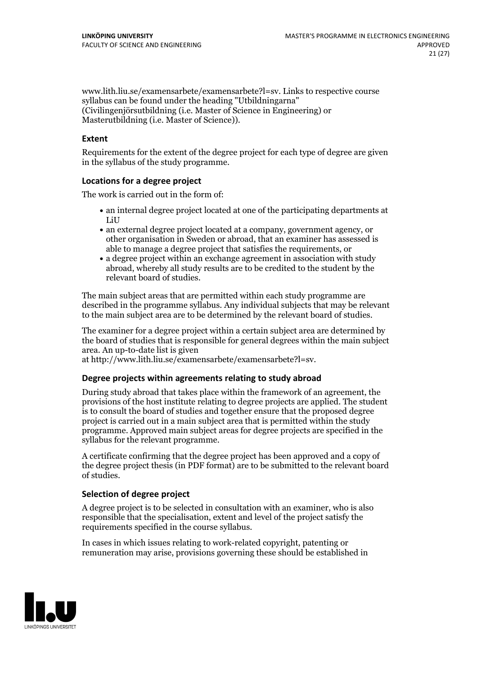www.lith.liu.se/examensarbete/examensarbete?l=sv. Links to respective course syllabus can be found under the heading "Utbildningarna" (Civilingenjörsutbildning (i.e. Master of Science in Engineering) or Masterutbildning (i.e. Master of Science)).

#### **Extent**

Requirements for the extent of the degree project for each type of degree are given in the syllabus of the study programme.

#### **Locations for a degree project**

The work is carried out in the form of:

- an internal degree project located at one of the participating departments at LiU
- an external degree project located at a company, government agency, or other organisation in Sweden or abroad, that an examiner has assessed is able to manage a degree project that satisfies the requirements, or
- a degree project within an exchange agreement in association with study abroad, whereby all study results are to be credited to the student by the relevant board of studies.

The main subject areas that are permitted within each study programme are described in the programme syllabus. Any individual subjects that may be relevant to the main subject area are to be determined by the relevant board of studies.

The examiner for a degree project within a certain subject area are determined by the board of studies that is responsible for general degrees within the main subject area. An up-to-date list is given

at http://www.lith.liu.se/examensarbete/examensarbete?l=sv.

#### **Degree projects within agreements relatingto study abroad**

During study abroad that takes place within the framework of an agreement, the provisions of the host institute relating to degree projects are applied. The student is to consult the board of studies and together ensure that the proposed degree project is carried out in a main subject area that is permitted within the study programme. Approved main subject areas for degree projects are specified in the syllabus for the relevant programme.

A certificate confirming that the degree project has been approved and a copy of the degree project thesis (in PDF format) are to be submitted to the relevant board of studies.

#### **Selection of degree project**

A degree project is to be selected in consultation with an examiner, who is also responsible that the specialisation, extent and level of the project satisfy the requirements specified in the course syllabus.

In cases in which issues relating to work-related copyright, patenting or remuneration may arise, provisions governing these should be established in

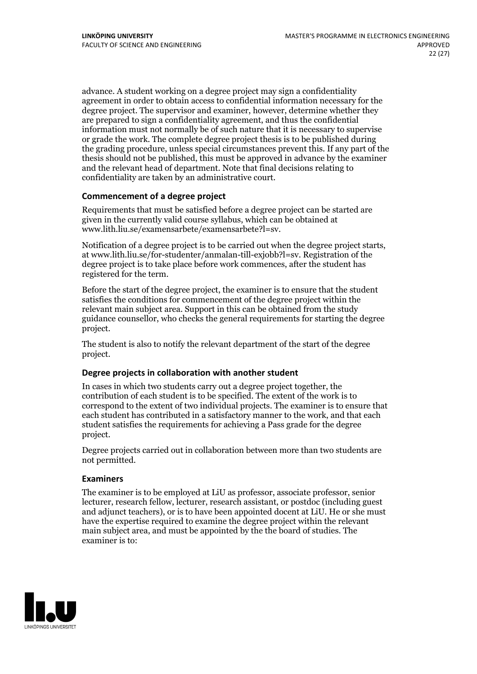advance. A student working on a degree project may sign a confidentiality agreement in order to obtain access to confidential information necessary for the degree project. The supervisor and examiner, however, determine whether they are prepared to sign a confidentiality agreement, and thus the confidential information must not normally be of such nature that it is necessary to supervise or grade the work. The complete degree project thesis is to be published during the grading procedure, unless special circumstances prevent this. If any part of the thesis should not be published, this must be approved in advance by the examiner and the relevant head of department. Note that final decisions relating to confidentiality are taken by an administrative court.

### **Commencement of a degree project**

Requirements that must be satisfied before a degree project can be started are given in the currently valid course syllabus, which can be obtained at www.lith.liu.se/examensarbete/examensarbete?l=sv.

Notification of <sup>a</sup> degree project is to be carried outwhen the degree project starts, at www.lith.liu.se/for-studenter/anmalan-till-exjobb?l=sv. Registration of the degree project is to take place before work commences, after the student has registered for the term.

Before the start of the degree project, the examiner is to ensure that the student satisfies the conditions for commencement of the degree project within the relevant main subject area. Support in this can be obtained from the study guidance counsellor, who checks the general requirements for starting the degree project.

The student is also to notify the relevant department of the start of the degree project.

#### **Degree projects in collaboration with another student**

In cases in which two students carry out a degree project together, the contribution of each student is to be specified. The extent of the work is to correspond to the extent of two individual projects. The examiner is to ensure that each student has contributed in a satisfactory manner to the work, and that each student satisfies the requirements for achieving a Pass grade for the degree project.

Degree projects carried out in collaboration between more than two students are not permitted.

#### **Examiners**

The examiner is to be employed at LiU as professor, associate professor, senior lecturer, research fellow, lecturer, research assistant, or postdoc (including guest and adjunct teachers), or is to have been appointed docent at LiU. He or she must have the expertise required to examine the degree project within the relevant main subject area, and must be appointed by the the board of studies. The examiner is to:

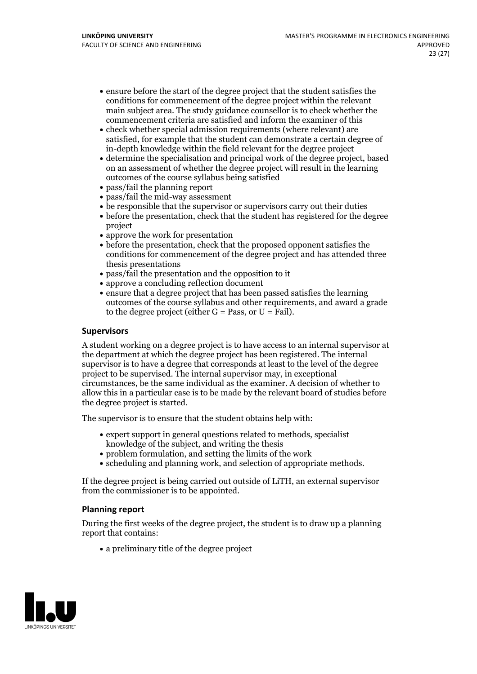- ensure before the start of the degree project that the student satisfies the conditions for commencement of the degree project within the relevant main subject area. The study guidance counsellor is to check whether the commencement criteria are satisfied and inform the examiner of this
- check whether special admission requirements (where relevant) are satisfied, for example that the student can demonstrate a certain degree of in-depth knowledge within the field relevant for the degree project
- determine the specialisation and principal work of the degree project, based on an assessment of whether the degree project will result in the learning outcomes of the course syllabus being satisfied
- pass/fail the planning report
- pass/fail the mid-way assessment
- be responsible that the supervisor or supervisors carry out their duties
- before the presentation, check that the student has registered for the degree project
- approve the work for presentation
- before the presentation, check that the proposed opponent satisfies the conditions for commencement of the degree project and has attended three thesis presentations
- pass/fail the presentation and the opposition to it
- approve a concluding reflection document
- ensure that a degree project that has been passed satisfies the learning outcomes of the course syllabus and other requirements, and award a grade to the degree project (either  $G = Pass$ , or  $U = Fail$ ).

### **Supervisors**

A student working on a degree project is to have access to an internal supervisor at the department at which the degree project has been registered. The internal supervisor is to have a degree that corresponds at least to the level of the degree project to be supervised. The internal supervisor may, in exceptional circumstances, be the same individual as the examiner. A decision of whether to allow this in a particular case is to be made by the relevant board of studies before the degree project is started.

The supervisor is to ensure that the student obtains help with:

- expert support in general questions related to methods, specialist knowledge of the subject, and writing the thesis
- problem formulation, and setting the limits of the work
- scheduling and planning work, and selection of appropriate methods.

If the degree project is being carried out outside of LiTH, an external supervisor from the commissioner is to be appointed.

#### **Planning report**

During the first weeks of the degree project, the student is to draw up a planning report that contains:

 $\bullet$  a preliminary title of the degree project

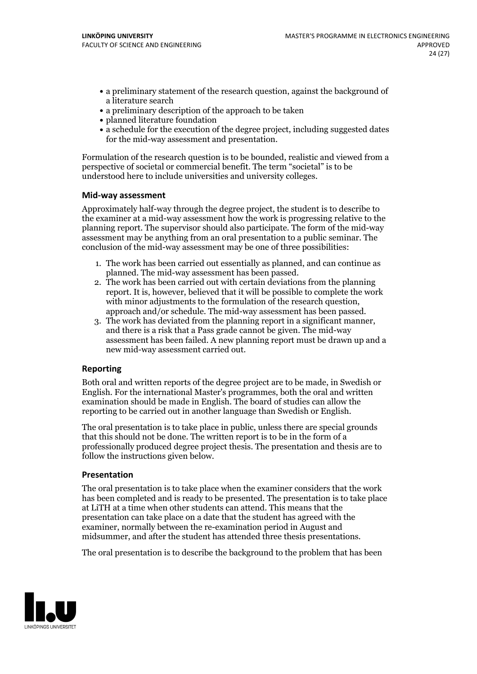- a preliminary statement of the research question, against the background of a literature search
- a preliminary description of the approach to be taken
- planned literature foundation
- a schedule for the execution of the degree project, including suggested dates for the mid-way assessment and presentation.

Formulation of the research question is to be bounded, realistic and viewed from a perspective of societal or commercial benefit. The term "societal" is to be understood here to include universities and university colleges.

#### **Mid-way assessment**

Approximately half-way through the degree project, the student is to describe to the examiner at a mid-way assessment how the work is progressing relative to the planning report. The supervisor should also participate. The form of the mid-way assessment may be anything from an oral presentation to a public seminar. The conclusion of the mid-way assessment may be one of three possibilities:

- 1. The work has been carried out essentially as planned, and can continue as
- planned. The mid-way assessment has been passed. 2. The work has been carried outwith certain deviations from the planning report. It is, however, believed that it will be possible to complete the work
- approach and/or schedule. The mid-way assessment has been passed.<br>3. The work has deviated from the planning report in a significant manner, and there is a risk that a Pass grade cannot be given. The mid-way assessment has been failed. A new planning report must be drawn up and a new mid-way assessment carried out.

### **Reporting**

Both oral and written reports of the degree project are to be made, in Swedish or English. For the international Master's programmes, both the oral and written examination should be made in English. The board of studies can allow the reporting to be carried out in another language than Swedish or English.

The oral presentation is to take place in public, unless there are special grounds that this should not be done. The written report is to be in the form of a professionally produced degree project thesis. The presentation and thesis are to follow the instructions given below.

#### **Presentation**

The oral presentation is to take place when the examiner considers that the work has been completed and is ready to be presented. The presentation is to take place at LiTH at a time when other students can attend. This means that the presentation can take place on a date that the student has agreed with the examiner, normally between the re-examination period in August and midsummer, and after the student has attended three thesis presentations.

The oral presentation is to describe the background to the problem that has been

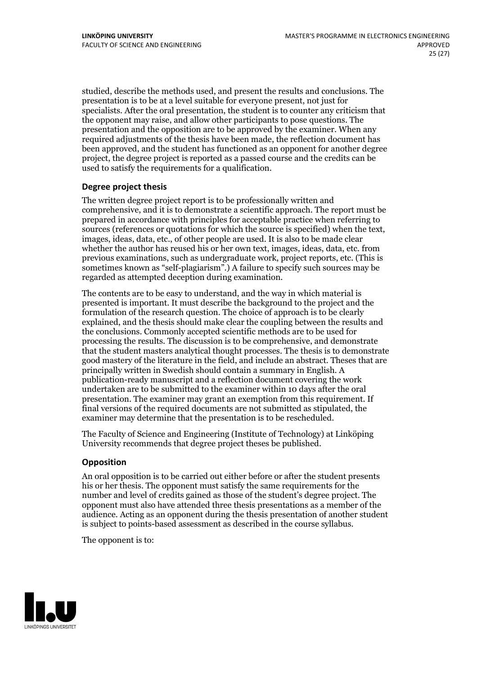studied, describe the methods used, and present the results and conclusions. The presentation is to be at a level suitable for everyone present, not just for specialists. After the oral presentation, the student is to counter any criticism that the opponent may raise, and allow other participants to pose questions. The presentation and the opposition are to be approved by the examiner. When any required adjustments of the thesis have been made, the reflection document has been approved, and the student has functioned as an opponent for another degree project, the degree project is reported as a passed course and the credits can be used to satisfy the requirements for a qualification.

### **Degree project thesis**

The written degree project report is to be professionally written and comprehensive, and it is to demonstrate a scientific approach. The report must be prepared in accordance with principles for acceptable practice when referring to sources (references or quotations for which the source is specified) when the text, images, ideas, data, etc., of other people are used. It is also to be made clear whether the author has reused his or her own text, images, ideas, data, etc. from previous examinations, such asundergraduate work, project reports, etc. (This is sometimes known as"self-plagiarism".) A failure to specify such sources may be regarded as attempted deception during examination.

The contents are to be easy to understand, and the way in which material is presented is important. It must describe the background to the project and the formulation of the research question. The choice of approach is to be clearly explained, and the thesis should make clear the coupling between the results and the conclusions. Commonly accepted scientific methods are to be used for processing the results. The discussion is to be comprehensive, and demonstrate that the student masters analytical thought processes. The thesis is to demonstrate good mastery of the literature in the field, and include an abstract. Theses that are principally written in Swedish should contain a summary in English. A publication-ready manuscript and a reflection document covering the work undertaken are to be submitted to the examiner within 10 days after the oral presentation. The examiner may grant an exemption from this requirement. If final versions of the required documents are not submitted as stipulated, the examiner may determine that the presentation is to be rescheduled.

The Faculty of Science and Engineering (Institute of Technology) at Linköping University recommends that degree project theses be published.

### **Opposition**

An oral opposition is to be carried out either before or after the student presents his or her thesis. The opponent must satisfy the same requirements for the number and level of credits gained as those of the student's degree project. The opponent must also have attended three thesis presentations as a member of the audience. Acting as an opponent during the thesis presentation of another student is subject to points-based assessment as described in the course syllabus.

The opponent is to:

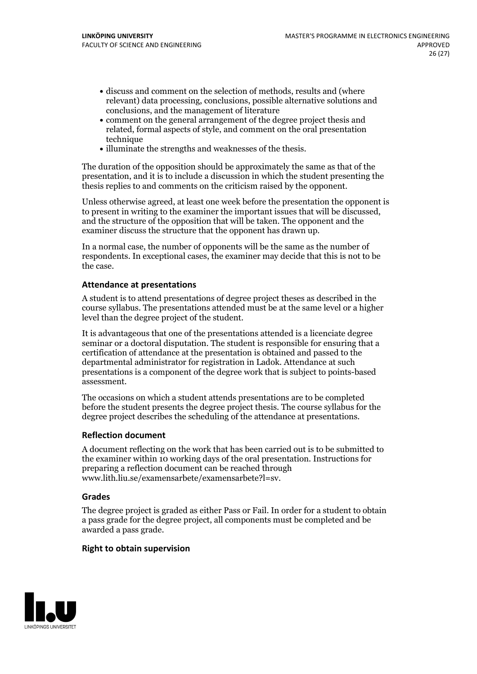- discuss and comment on the selection of methods, results and (where relevant) data processing, conclusions, possible alternative solutions and conclusions, and the management of literature
- comment on the general arrangement of the degree project thesis and related, formal aspects of style, and comment on the oral presentation technique
- illuminate the strengths and weaknesses of the thesis.

The duration of the opposition should be approximately the same as that of the presentation, and it is to include a discussion in which the student presenting the thesis replies to and comments on the criticism raised by the opponent.

Unless otherwise agreed, at least one week before the presentation the opponent is to present in writing to the examiner the important issues that will be discussed, and the structure ofthe opposition that will be taken. The opponent and the examiner discuss the structure that the opponent has drawn up.

In a normal case, the number of opponents will be the same as the number of respondents. In exceptional cases, the examiner may decide that this is not to be the case.

### **Attendance at presentations**

A student is to attend presentations of degree project theses as described in the course syllabus. The presentations attended must be at the same level or a higher level than the degree project of the student.

It is advantageous that one of the presentations attended is a licenciate degree seminar or a doctoral disputation. The student is responsible for ensuring that a certification of attendance at the presentation is obtained and passed to the departmental administrator for registration in Ladok. Attendance at such presentations is a component of the degree work that is subject to points-based assessment.

The occasions on which a student attends presentations are to be completed before the student presents the degree project thesis. The course syllabus for the degree project describes the scheduling of the attendance at presentations.

#### **Reflection document**

A document reflecting on the work that has been carried outis to be submitted to the examiner within 10 working days of the oral presentation. Instructions for preparing a reflection document can be reached through www.lith.liu.se/examensarbete/examensarbete?l=sv.

#### **Grades**

The degree project is graded as either Pass or Fail. In order for a student to obtain a pass grade for the degree project, all components must be completed and be awarded a pass grade.

#### **Right to obtain supervision**